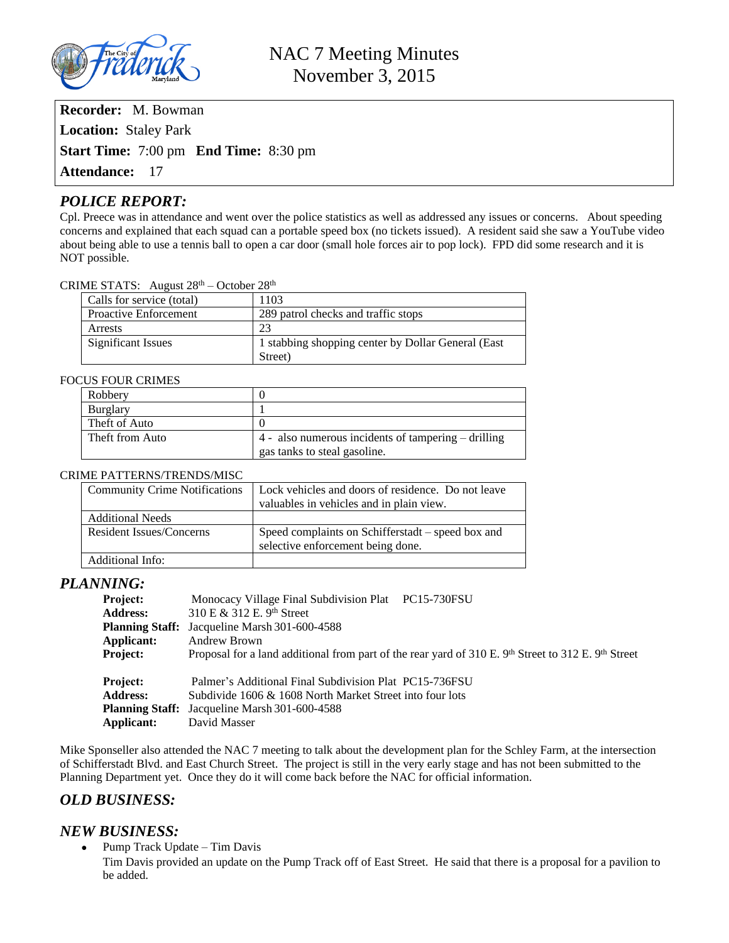

**Recorder:** M. Bowman **Location:** Staley Park **Start Time:** 7:00 pm **End Time:** 8:30 pm **Attendance:** 17

# *POLICE REPORT:*

Cpl. Preece was in attendance and went over the police statistics as well as addressed any issues or concerns. About speeding concerns and explained that each squad can a portable speed box (no tickets issued). A resident said she saw a YouTube video about being able to use a tennis ball to open a car door (small hole forces air to pop lock). FPD did some research and it is NOT possible.

### CRIME STATS: August 28th – October 28th

| Calls for service (total)    | 1103                                               |
|------------------------------|----------------------------------------------------|
| <b>Proactive Enforcement</b> | 289 patrol checks and traffic stops                |
| Arrests                      | 23                                                 |
| Significant Issues           | 1 stabbing shopping center by Dollar General (East |
|                              | Street)                                            |

### FOCUS FOUR CRIMES

| Robbery         |                                                         |
|-----------------|---------------------------------------------------------|
| <b>Burglary</b> |                                                         |
| Theft of Auto   |                                                         |
| Theft from Auto | $4$ - also numerous incidents of tampering $-$ drilling |
|                 | gas tanks to steal gasoline.                            |

### CRIME PATTERNS/TRENDS/MISC

| <b>Community Crime Notifications</b> | Lock vehicles and doors of residence. Do not leave |
|--------------------------------------|----------------------------------------------------|
|                                      | valuables in vehicles and in plain view.           |
| <b>Additional Needs</b>              |                                                    |
| <b>Resident Issues/Concerns</b>      | Speed complaints on Schifferstadt – speed box and  |
|                                      | selective enforcement being done.                  |
| Additional Info:                     |                                                    |

### *PLANNING:*

| Project:<br><b>Address:</b><br>Applicant:<br><b>Project:</b> | Monocacy Village Final Subdivision Plat PC15-730FSU<br>310 E & 312 E. 9th Street<br><b>Planning Staff:</b> Jacqueline Marsh 301-600-4588<br>Andrew Brown<br>Proposal for a land additional from part of the rear yard of 310 E. 9th Street to 312 E. 9th Street |
|--------------------------------------------------------------|-----------------------------------------------------------------------------------------------------------------------------------------------------------------------------------------------------------------------------------------------------------------|
| Project:<br><b>Address:</b><br>Applicant:                    | Palmer's Additional Final Subdivision Plat PC15-736FSU<br>Subdivide 1606 & 1608 North Market Street into four lots<br><b>Planning Staff:</b> Jacqueline Marsh 301-600-4588<br>David Masser                                                                      |

Mike Sponseller also attended the NAC 7 meeting to talk about the development plan for the Schley Farm, at the intersection of Schifferstadt Blvd. and East Church Street. The project is still in the very early stage and has not been submitted to the Planning Department yet. Once they do it will come back before the NAC for official information.

# *OLD BUSINESS:*

## *NEW BUSINESS:*

 $\bullet$  Pump Track Update – Tim Davis

Tim Davis provided an update on the Pump Track off of East Street. He said that there is a proposal for a pavilion to be added.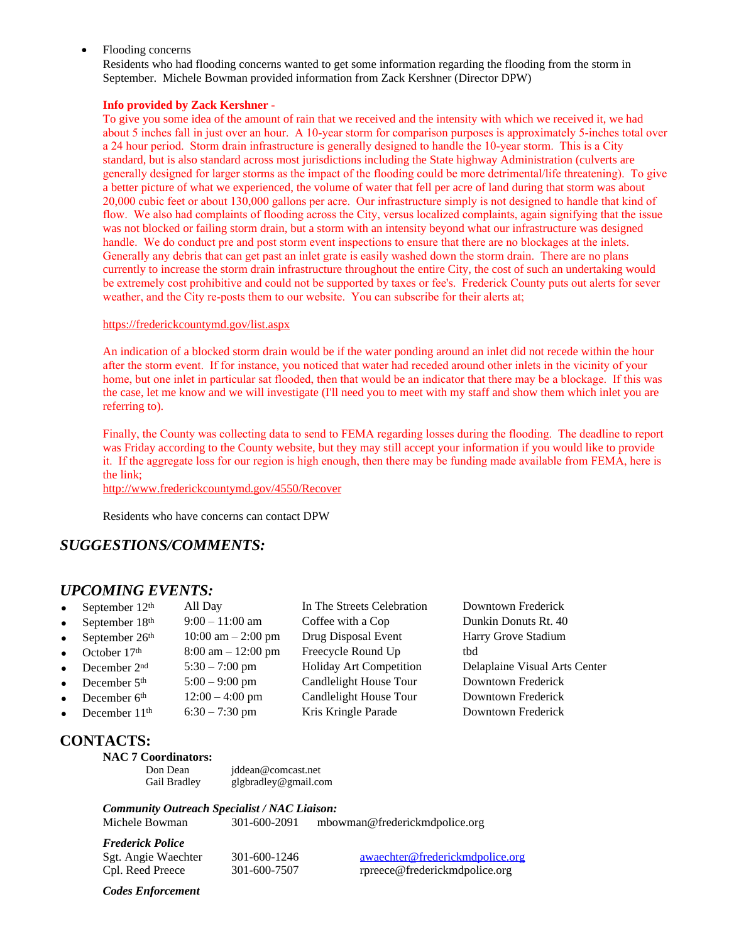Flooding concerns

Residents who had flooding concerns wanted to get some information regarding the flooding from the storm in September. Michele Bowman provided information from Zack Kershner (Director DPW)

### **Info provided by Zack Kershner -**

To give you some idea of the amount of rain that we received and the intensity with which we received it, we had about 5 inches fall in just over an hour. A 10-year storm for comparison purposes is approximately 5-inches total over a 24 hour period. Storm drain infrastructure is generally designed to handle the 10-year storm. This is a City standard, but is also standard across most jurisdictions including the State highway Administration (culverts are generally designed for larger storms as the impact of the flooding could be more detrimental/life threatening). To give a better picture of what we experienced, the volume of water that fell per acre of land during that storm was about 20,000 cubic feet or about 130,000 gallons per acre. Our infrastructure simply is not designed to handle that kind of flow. We also had complaints of flooding across the City, versus localized complaints, again signifying that the issue was not blocked or failing storm drain, but a storm with an intensity beyond what our infrastructure was designed handle. We do conduct pre and post storm event inspections to ensure that there are no blockages at the inlets. Generally any debris that can get past an inlet grate is easily washed down the storm drain. There are no plans currently to increase the storm drain infrastructure throughout the entire City, the cost of such an undertaking would be extremely cost prohibitive and could not be supported by taxes or fee's. Frederick County puts out alerts for sever weather, and the City re-posts them to our website. You can subscribe for their alerts at;

#### <https://frederickcountymd.gov/list.aspx>

An indication of a blocked storm drain would be if the water ponding around an inlet did not recede within the hour after the storm event. If for instance, you noticed that water had receded around other inlets in the vicinity of your home, but one inlet in particular sat flooded, then that would be an indicator that there may be a blockage. If this was the case, let me know and we will investigate (I'll need you to meet with my staff and show them which inlet you are referring to).

Finally, the County was collecting data to send to FEMA regarding losses during the flooding. The deadline to report was Friday according to the County website, but they may still accept your information if you would like to provide it. If the aggregate loss for our region is high enough, then there may be funding made available from FEMA, here is the link;

<http://www.frederickcountymd.gov/4550/Recover>

Residents who have concerns can contact DPW

# *SUGGESTIONS/COMMENTS:*

## *UPCOMING EVENTS:*

- September  $12^{\text{th}}$  All Day In The Streets Celebration Downtown Frederick<br>September  $18^{\text{th}}$  9:00 11:00 am Coffee with a Cop Dunkin Donuts Rt. 40 • September  $18^{th}$  9:00 – 11:00 am Coffee with a Cop Dunkin Donuts Rt. 40<br>• September  $26^{th}$  10:00 am – 2:00 pm Drug Disposal Event Harry Grove Stadium September  $26<sup>th</sup>$  10:00 am – 2:00 pm Drug Disposal Event Harry Grove Stadium
- 
- 
- 
- 
- 
- 

October 17<sup>th</sup> 8:00 am – 12:00 pm Freecycle Round Up tbd<br>December 2<sup>nd</sup> 5:30 – 7:00 pm Holiday Art Competition Del December 5<sup>th</sup> 5:00 – 9:00 pm Candlelight House Tour Downtown Frederick December  $6<sup>th</sup>$  12:00 – 4:00 pm Candlelight House Tour Downtown Frederick December 11<sup>th</sup> 6:30 – 7:30 pm Kris Kringle Parade Downtown Frederick

December 2nd 5:30 – 7:00 pm Holiday Art Competition Delaplaine Visual Arts Center

# **CONTACTS:**

# **NAC 7 Coordinators:**

Don Dean [jddean@comcast.net](mailto:jddean@comcast.net) Gail Bradley [glgbradley@gmail.com](mailto:glgbradley@gmail.com)

*Community Outreach Specialist / NAC Liaison:* Michele Bowman 301-600-2091 [mbowman@frederickmdpolice.org](mailto:mbowman@frederickmdpolice.org)

*Frederick Police*

Sgt. Angie Waechter 301-600-1246 [awaechter@frederickmdpolice.org](mailto:awaechter@frederickmdpolice.org) Cpl. Reed Preece 301-600-7507 rpreece@frederickmdpolice.org

*Codes Enforcement*